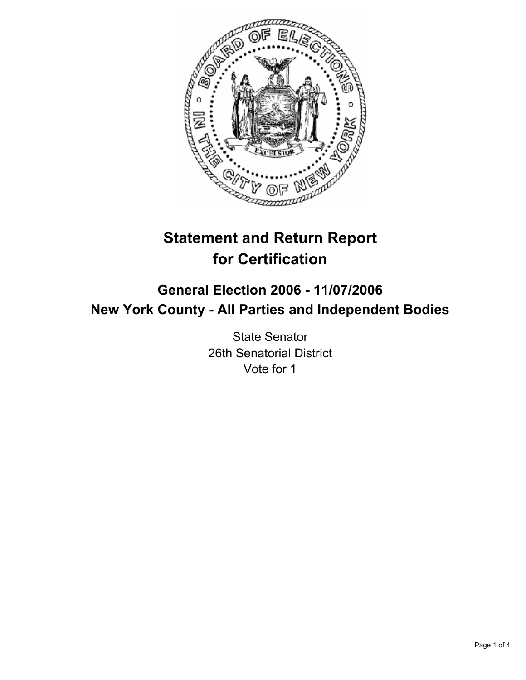

# **Statement and Return Report for Certification**

## **General Election 2006 - 11/07/2006 New York County - All Parties and Independent Bodies**

State Senator 26th Senatorial District Vote for 1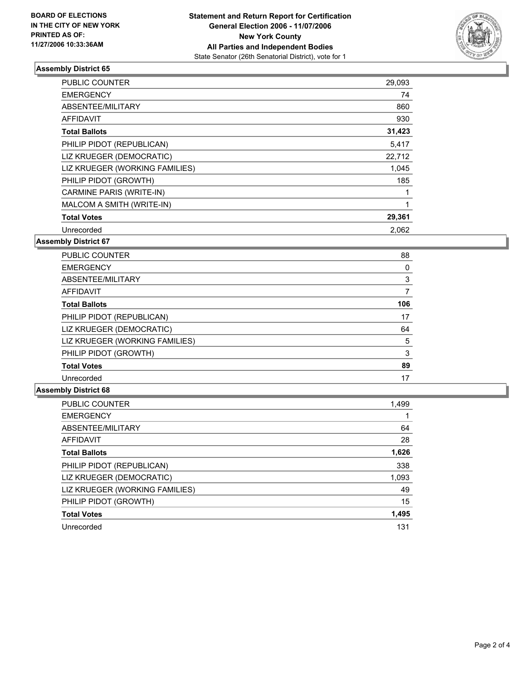

### **Assembly District 65**

| <b>PUBLIC COUNTER</b>          | 29,093 |  |
|--------------------------------|--------|--|
| <b>EMERGENCY</b>               | 74     |  |
| ABSENTEE/MILITARY              | 860    |  |
| <b>AFFIDAVIT</b>               | 930    |  |
| <b>Total Ballots</b>           | 31,423 |  |
| PHILIP PIDOT (REPUBLICAN)      | 5,417  |  |
| LIZ KRUEGER (DEMOCRATIC)       | 22,712 |  |
| LIZ KRUEGER (WORKING FAMILIES) | 1,045  |  |
| PHILIP PIDOT (GROWTH)          | 185    |  |
| CARMINE PARIS (WRITE-IN)       |        |  |
| MALCOM A SMITH (WRITE-IN)      |        |  |
| <b>Total Votes</b>             | 29,361 |  |
| Unrecorded                     | 2.062  |  |

#### **Assembly District 67**

| <b>PUBLIC COUNTER</b>          | 88  |  |
|--------------------------------|-----|--|
| <b>EMERGENCY</b>               |     |  |
| ABSENTEE/MILITARY              | 3   |  |
| <b>AFFIDAVIT</b>               |     |  |
| <b>Total Ballots</b>           | 106 |  |
| PHILIP PIDOT (REPUBLICAN)      | 17  |  |
| LIZ KRUEGER (DEMOCRATIC)       | 64  |  |
| LIZ KRUEGER (WORKING FAMILIES) | 5   |  |
| PHILIP PIDOT (GROWTH)          | 3   |  |
| <b>Total Votes</b>             | 89  |  |
| Unrecorded                     | 17  |  |

#### **Assembly District 68**

| PUBLIC COUNTER                 | 1,499 |
|--------------------------------|-------|
| <b>EMERGENCY</b>               |       |
| ABSENTEE/MILITARY              | 64    |
| <b>AFFIDAVIT</b>               | 28    |
| <b>Total Ballots</b>           | 1,626 |
| PHILIP PIDOT (REPUBLICAN)      | 338   |
| LIZ KRUEGER (DEMOCRATIC)       | 1,093 |
| LIZ KRUEGER (WORKING FAMILIES) | 49    |
| PHILIP PIDOT (GROWTH)          | 15    |
| <b>Total Votes</b>             | 1,495 |
| Unrecorded                     | 131   |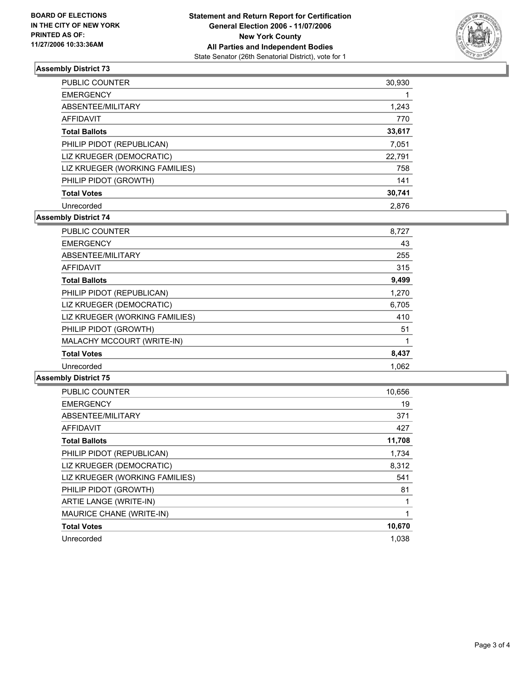

#### **Assembly District 73**

| <b>PUBLIC COUNTER</b>          | 30,930 |
|--------------------------------|--------|
| <b>EMERGENCY</b>               |        |
| ABSENTEE/MILITARY              | 1,243  |
| AFFIDAVIT                      | 770    |
| <b>Total Ballots</b>           | 33,617 |
| PHILIP PIDOT (REPUBLICAN)      | 7,051  |
| LIZ KRUEGER (DEMOCRATIC)       | 22,791 |
| LIZ KRUEGER (WORKING FAMILIES) | 758    |
| PHILIP PIDOT (GROWTH)          | 141    |
| <b>Total Votes</b>             | 30,741 |
| Unrecorded                     | 2.876  |

### **Assembly District 74**

| PUBLIC COUNTER                 | 8,727 |
|--------------------------------|-------|
| <b>EMERGENCY</b>               | 43    |
| ABSENTEE/MILITARY              | 255   |
| AFFIDAVIT                      | 315   |
| <b>Total Ballots</b>           | 9,499 |
| PHILIP PIDOT (REPUBLICAN)      | 1,270 |
| LIZ KRUEGER (DEMOCRATIC)       | 6,705 |
| LIZ KRUEGER (WORKING FAMILIES) | 410   |
| PHILIP PIDOT (GROWTH)          | 51    |
| MALACHY MCCOURT (WRITE-IN)     |       |
| <b>Total Votes</b>             | 8,437 |
| Unrecorded                     | 1.062 |

#### **Assembly District 75**

| <b>PUBLIC COUNTER</b>          | 10,656 |
|--------------------------------|--------|
| <b>EMERGENCY</b>               | 19     |
| ABSENTEE/MILITARY              | 371    |
| <b>AFFIDAVIT</b>               | 427    |
| <b>Total Ballots</b>           | 11,708 |
| PHILIP PIDOT (REPUBLICAN)      | 1,734  |
| LIZ KRUEGER (DEMOCRATIC)       | 8,312  |
| LIZ KRUEGER (WORKING FAMILIES) | 541    |
| PHILIP PIDOT (GROWTH)          | 81     |
| ARTIE LANGE (WRITE-IN)         |        |
| MAURICE CHANE (WRITE-IN)       |        |
| <b>Total Votes</b>             | 10,670 |
| Unrecorded                     | 1,038  |